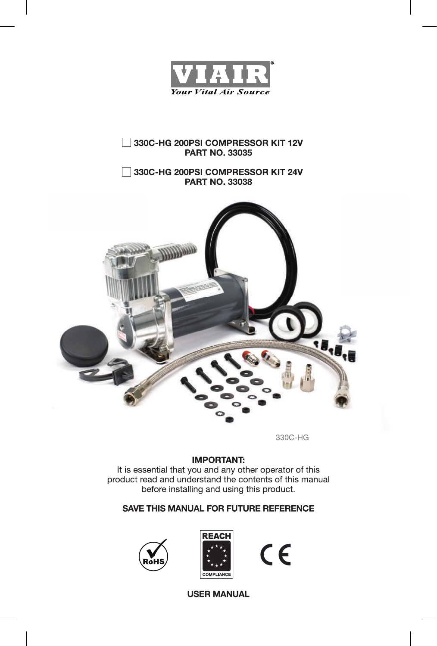

## 330C-HG 200PSI COMPRESSOR KIT 12V **PART NO. 33035**

## 330C-HG 200PSI COMPRESSOR KIT 24V **PART NO. 33038**



330C-HG

## **IMPORTANT:**

It is essential that you and any other operator of this product read and understand the contents of this manual before installing and using this product.

## **SAVE THIS MANUAL FOR FUTURE REFERENCE**





 $C \in$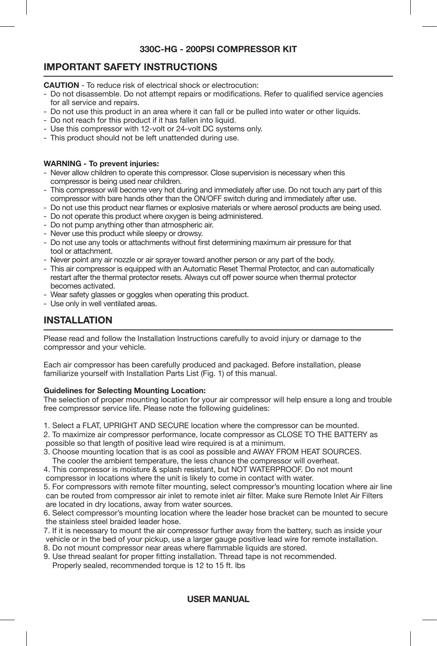# **IMPORTANT SAFETY INSTRUCTIONS**

**CAUTION** - To reduce risk of electrical shock or electrocution:

- Do not disassemble. Do not attempt repairs or modifications. Refer to qualified service agencies for all service and repairs.
- Do not use this product in an area where it can fall or be pulled into water or other liquids.
- Do not reach for this product if it has fallen into liquid.
- Use this compressor with 12-volt or 24-volt DC systems only.
- This product should not be left unattended during use.

#### **WARNING - To prevent injuries:**

- Never allow children to operate this compressor. Close supervision is necessary when this compressor is being used near children.
- This compressor will become very hot during and immediately after use. Do not touch any part of this compressor with bare hands other than the ON/OFF switch during and immediately after use.
- Do not use this product near flames or explosive materials or where aerosol products are being used.
- Do not operate this product where oxygen is being administered.
- Do not pump anything other than atmospheric air.
- Never use this product while sleepy or drowsy.
- Do not use any tools or attachments without first determining maximum air pressure for that tool or attachment.
- Never point any air nozzle or air sprayer toward another person or any part of the body.
- This air compressor is equipped with an Automatic Reset Thermal Protector, and can automatically restart after the thermal protector resets. Always cut off power source when thermal protector becomes activated.
- Wear safety glasses or goggles when operating this product.
- Use only in well ventilated areas.

# **INSTALLATION**

Please read and follow the Installation Instructions carefully to avoid injury or damage to the compressor and your vehicle.

Each air compressor has been carefully produced and packaged. Before installation, please familiarize yourself with Installation Parts List (Fig. 1) of this manual.

#### **Guidelines for Selecting Mounting Location:**

The selection of proper mounting location for your air compressor will help ensure a long and trouble free compressor service life. Please note the following guidelines:

- 1. Select a FLAT, UPRIGHT AND SECURE location where the compressor can be mounted.
- 2. To maximize air compressor performance, locate compressor as CLOSE TO THE BATTERY as possible so that length of positive lead wire required is at a minimum.
- 3. Choose mounting location that is as cool as possible and AWAY FROM HEAT SOURCES. The cooler the ambient temperature, the less chance the compressor will overheat.
- 4. This compressor is moisture & splash resistant, but NOT WATERPROOF. Do not mount
- compressor in locations where the unit is likely to come in contact with water.
- 5. For compressors with remote filter mounting, select compressor's mounting location where air line can be routed from compressor air inlet to remote inlet air filter. Make sure Remote Inlet Air Filters are located in dry locations, away from water sources.
- 6. Select compressor's mounting location where the leader hose bracket can be mounted to secure the stainless steel braided leader hose.
- 7. If it is necessary to mount the air compressor further away from the battery, such as inside your vehicle or in the bed of your pickup, use a larger gauge positive lead wire for remote installation.
- 8. Do not mount compressor near areas where flammable liquids are stored.
- 9. Use thread sealant for proper fitting installation. Thread tape is not recommended.

# Properly sealed, recommended torque is 12 to 15 ft. lbs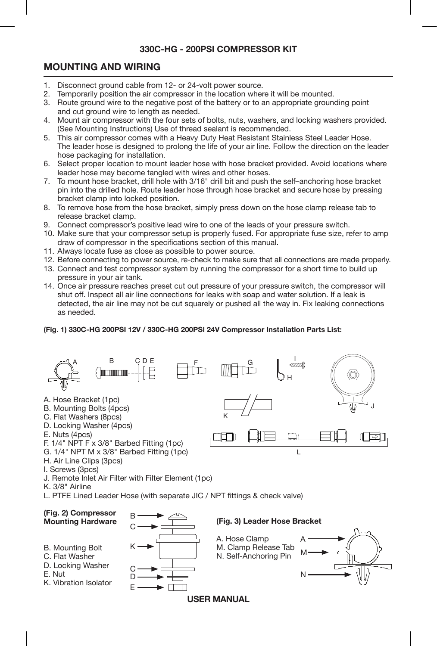# **MOUNTING AND WIRING**

- 1. Disconnect ground cable from 12- or 24-volt power source.<br>2. Temporarily position the air compressor in the location when
- 2. Temporarily position the air compressor in the location where it will be mounted.<br>3. Boute ground wire to the negative post of the battery or to an appropriate group.
- 3. Route ground wire to the negative post of the battery or to an appropriate grounding point and cut ground wire to length as needed.
- 4. Mount air compressor with the four sets of bolts, nuts, washers, and locking washers provided. (See Mounting Instructions) Use of thread sealant is recommended.
- 5. This air compressor comes with a Heavy Duty Heat Resistant Stainless Steel Leader Hose. The leader hose is designed to prolong the life of your air line. Follow the direction on the leader hose packaging for installation.
- 6. Select proper location to mount leader hose with hose bracket provided. Avoid locations where leader hose may become tangled with wires and other hoses.
- 7. To mount hose bracket, drill hole with 3/16" drill bit and push the self–anchoring hose bracket pin into the drilled hole. Route leader hose through hose bracket and secure hose by pressing bracket clamp into locked position.
- 8. To remove hose from the hose bracket, simply press down on the hose clamp release tab to release bracket clamp.
- 9. Connect compressor's positive lead wire to one of the leads of your pressure switch.
- 10. Make sure that your compressor setup is properly fused. For appropriate fuse size, refer to amp draw of compressor in the specifications section of this manual.
- 11. Always locate fuse as close as possible to power source.
- 12. Before connecting to power source, re-check to make sure that all connections are made properly.
- 13. Connect and test compressor system by running the compressor for a short time to build up pressure in your air tank.
- 14. Once air pressure reaches preset cut out pressure of your pressure switch, the compressor will shut off. Inspect all air line connections for leaks with soap and water solution. If a leak is detected, the air line may not be cut squarely or pushed all the way in. Fix leaking connections as needed.

#### **(Fig. 1) 330C-HG 200PSI 12V / 330C-HG 200PSI 24V Compressor Installation Parts List:**



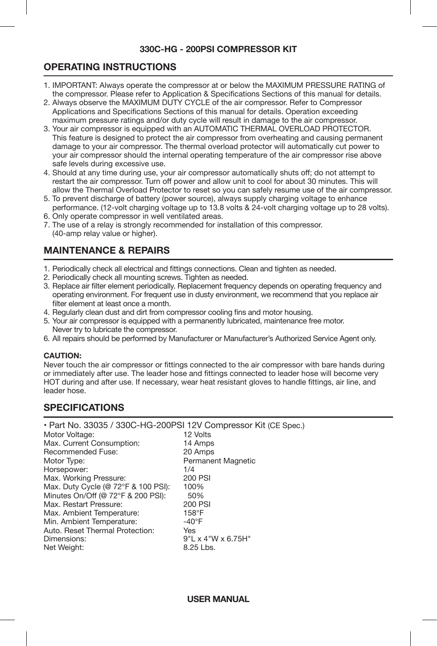# **OPERATING INSTRUCTIONS**

- 1. IMPORTANT: Always operate the compressor at or below the MAXIMUM PRESSURE RATING of the compressor. Please refer to Application & Specifications Sections of this manual for details.
- 2. Always observe the MAXIMUM DUTY CYCLE of the air compressor. Refer to Compressor Applications and Specifications Sections of this manual for details. Operation exceeding maximum pressure ratings and/or duty cycle will result in damage to the air compressor.
- 3. Your air compressor is equipped with an AUTOMATIC THERMAL OVERLOAD PROTECTOR. This feature is designed to protect the air compressor from overheating and causing permanent damage to your air compressor. The thermal overload protector will automatically cut power to your air compressor should the internal operating temperature of the air compressor rise above safe levels during excessive use.
- 4. Should at any time during use, your air compressor automatically shuts off; do not attempt to restart the air compressor. Turn off power and allow unit to cool for about 30 minutes. This will allow the Thermal Overload Protector to reset so you can safely resume use of the air compressor.
- 5. To prevent discharge of battery (power source), always supply charging voltage to enhance performance. (12-volt charging voltage up to 13.8 volts & 24-volt charging voltage up to 28 volts).
- 6. Only operate compressor in well ventilated areas.
- 7. The use of a relay is strongly recommended for installation of this compressor. (40-amp relay value or higher).

# **MAINTENANCE & REPAIRS**

- 1. Periodically check all electrical and fittings connections. Clean and tighten as needed.
- 2. Periodically check all mounting screws. Tighten as needed.
- 3. Replace air filter element periodically. Replacement frequency depends on operating frequency and operating environment. For frequent use in dusty environment, we recommend that you replace air filter element at least once a month.
- 4. Regularly clean dust and dirt from compressor cooling fins and motor housing.
- 5. Your air compressor is equipped with a permanently lubricated, maintenance free motor. Never try to lubricate the compressor.
- 6. All repairs should be performed by Manufacturer or Manufacturer's Authorized Service Agent only.

#### **CAUTION:**

Never touch the air compressor or fittings connected to the air compressor with bare hands during or immediately after use. The leader hose and fittings connected to leader hose will become very HOT during and after use. If necessary, wear heat resistant gloves to handle fittings, air line, and leader hose.

# **SPECIFICATIONS**

• Part No. 33035 / 330C-HG-200PSI 12V Compressor Kit (CE Spec.)

| 12 Volts                       |
|--------------------------------|
| 14 Amps                        |
| 20 Amps                        |
| Permanent Magnetic             |
| 1/4                            |
| 200 PSI                        |
| 100%                           |
| 50%                            |
| 200 PSI                        |
| 158°F                          |
| $-40^{\circ}$ F                |
| Yes                            |
| $9"L \times 4"W \times 6.75H"$ |
| 8.25 Lbs.                      |
|                                |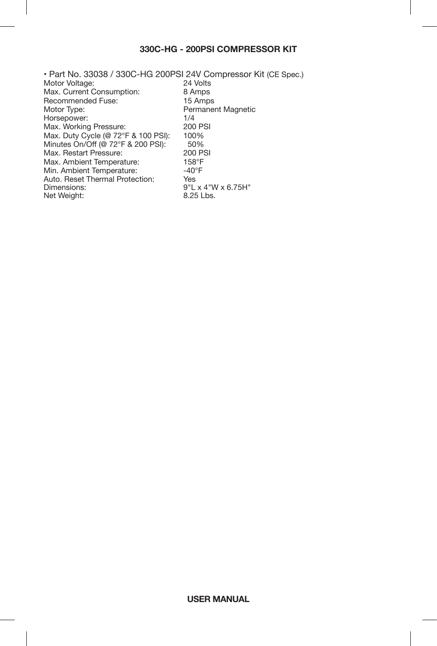• Part No. 33038 / 330C-HG 200PSI 24V Compressor Kit (CE Spec.) Motor Voltage: 24 Volts<br>
Max. Current Consumption: 8 Amps Max. Current Consumption: 8 Amps<br>Recommended Fuse: 15 Amps Recommended Fuse:<br>Motor Type: Permanent Magnetic<br>1/4 Horsepower: 1/4<br>
Max. Working Pressure: 200 PSI Max. Working Pressure: Max. Duty Cycle (@ 72°F & 100 PSI): 100%<br>Minutes On/Off (@ 72°F & 200 PSI): 50% Minutes On/Off (@ 72°F & 200 PSI): 50%<br>Max. Restart Pressure: 200 PSI Max. Restart Pressure: 200 P<br>Max. Ambient Temperature: 158°F Max. Ambient Temperature: 158°F<br>Min. Ambient Temperature: 140°F Min. Ambient Temperature:  $-40^{\circ}$ <br>Auto. Reset Thermal Protection: Yes Auto. Reset Thermal Protection:<br>Dimensions: 9"L x 4"W x 6.75H"<br>8.25 Lbs Net Weight: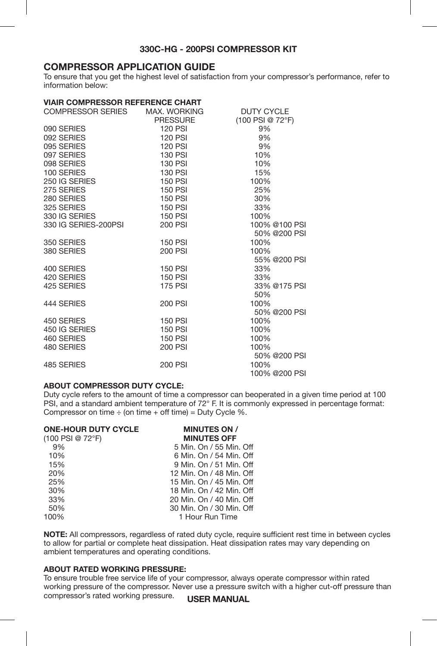# **COMPRESSOR APPLICATION GUIDE**

To ensure that you get the highest level of satisfaction from your compressor's performance, refer to information below:

| <b>VIAIR COMPRESSOR REFERENCE CHART</b>                           |                |                   |
|-------------------------------------------------------------------|----------------|-------------------|
| COMPRESSOR SERIES MAX. WORKING                                    |                | <b>DUTY CYCLE</b> |
|                                                                   | PRESSURE       | (100 PSI @ 72°F)  |
| 090 SERIES                                                        | 120 PSI        | 9%                |
| 092 SERIES                                                        | 120 PSI        | 9%                |
| 095 SERIES                                                        | 120 PSI        | 9%                |
| 097 SERIES                                                        | 130 PSI        | 10%               |
| 098 SERIES                                                        | 130 PSI        | 10%               |
| 100 SERIES                                                        | 130 PSI        | 15%               |
| 250 IG SERIES                                                     | 150 PSI        | 100%              |
| 275 SERIES                                                        | 150 PSI        | 25%               |
|                                                                   | 150 PSI        | 30%               |
| 280 SERIES<br>325 SERIES<br>330 IG SERIES<br>330 IG SERIES-200PSI | 150 PSI        | 33%               |
|                                                                   | 150 PSI        | 100%              |
|                                                                   | 200 PSI        | 100% @100 PSI     |
|                                                                   |                | 50% @200 PSI      |
| 350 SERIES                                                        | 150 PSI        | 100%              |
| 380 SERIES                                                        | 200 PSI        | 100%              |
|                                                                   |                | 55% @200 PSI      |
| 400 SERIES                                                        | 150 PSI        | 33%               |
| 420 SERIES                                                        | 150 PSI        | 33%               |
| 425 SERIES                                                        | <b>175 PSI</b> | 33% @175 PSI      |
|                                                                   |                | 50%               |
| 444 SERIES                                                        | 200 PSI        | 100%              |
|                                                                   |                | 50% @200 PSI      |
| 450 SERIES<br>450 SERIES<br>450 IG SERIES                         | 150 PSI        | 100%              |
|                                                                   | 150 PSI        | 100%              |
| 460 SERIES                                                        | 150 PSI        | 100%              |
| 480 SERIES                                                        | 200 PSI        | 100%              |
|                                                                   |                | 50% @200 PSI      |
| 485 SERIES                                                        | 200 PSI        | 100%              |
|                                                                   |                | 100% @200 PSI     |

### **ABOUT COMPRESSOR DUTY CYCLE:**

Duty cycle refers to the amount of time a compressor can be
operated in a given time period at 100 PSI, and a standard ambient temperature of 72° F. It is commonly expressed in percentage format: Compressor on time  $\div$  (on time  $+$  off time) = Duty Cycle %.

| <b>MINUTES ON /</b>      |
|--------------------------|
| <b>MINUTES OFF</b>       |
| 5 Min. On / 55 Min. Off  |
| 6 Min. On / 54 Min. Off  |
| 9 Min. On / 51 Min. Off  |
| 12 Min. On / 48 Min. Off |
| 15 Min. On / 45 Min. Off |
| 18 Min. On / 42 Min. Off |
| 20 Min. On / 40 Min. Off |
| 30 Min. On / 30 Min. Off |
| 1 Hour Run Time          |
|                          |

**NOTE:** All compressors, regardless of rated duty cycle, require sufficient rest time in between cycles to allow for partial or complete heat dissipation. Heat dissipation rates may vary depending on ambient temperatures and operating conditions.

#### **ABOUT RATED WORKING PRESSURE:**

**USER MANUAL** To ensure trouble free service life of your compressor, always operate compressor within rated working pressure of the compressor. Never use a pressure switch with a higher cut-off pressure than compressor's rated working pressure.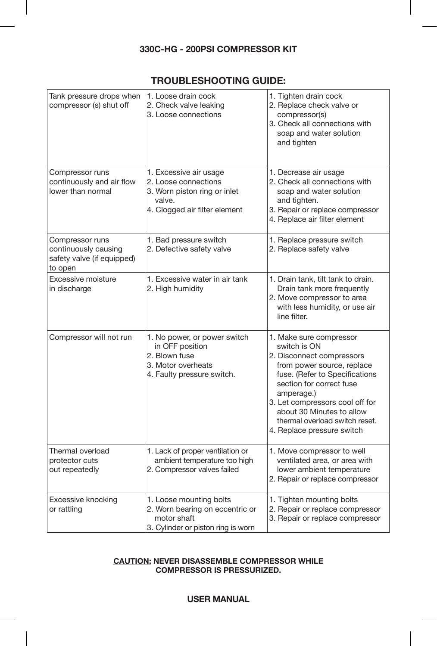# **TROUBLESHOOTING GUIDE:**

| Tank pressure drops when<br>compressor (s) shut off                              | 1. Loose drain cock<br>2. Check valve leaking<br>3. Loose connections                                                     | 1. Tighten drain cock<br>2. Replace check valve or<br>compressor(s)<br>3. Check all connections with<br>soap and water solution<br>and tighten                                                                                                                                                                 |
|----------------------------------------------------------------------------------|---------------------------------------------------------------------------------------------------------------------------|----------------------------------------------------------------------------------------------------------------------------------------------------------------------------------------------------------------------------------------------------------------------------------------------------------------|
| Compressor runs<br>continuously and air flow<br>lower than normal                | 1. Excessive air usage<br>2. Loose connections<br>3. Worn piston ring or inlet<br>valve.<br>4. Clogged air filter element | 1. Decrease air usage<br>2. Check all connections with<br>soap and water solution<br>and tighten.<br>3. Repair or replace compressor<br>4. Replace air filter element                                                                                                                                          |
| Compressor runs<br>continuously causing<br>safety valve (if equipped)<br>to open | 1. Bad pressure switch<br>2. Defective safety valve                                                                       | 1. Replace pressure switch<br>2. Replace safety valve                                                                                                                                                                                                                                                          |
| Excessive moisture<br>in discharge                                               | 1. Excessive water in air tank<br>2. High humidity                                                                        | 1. Drain tank, tilt tank to drain.<br>Drain tank more frequently<br>2. Move compressor to area<br>with less humidity, or use air<br>line filter.                                                                                                                                                               |
| Compressor will not run                                                          | 1. No power, or power switch<br>in OFF position<br>2. Blown fuse<br>3. Motor overheats<br>4. Faulty pressure switch.      | 1. Make sure compressor<br>switch is ON<br>2. Disconnect compressors<br>from power source, replace<br>fuse. (Refer to Specifications<br>section for correct fuse<br>amperage.)<br>3. Let compressors cool off for<br>about 30 Minutes to allow<br>thermal overload switch reset.<br>4. Replace pressure switch |
| Thermal overload<br>protector cuts<br>out repeatedly                             | 1. Lack of proper ventilation or<br>ambient temperature too high<br>2. Compressor valves failed                           | 1. Move compressor to well<br>ventilated area, or area with<br>lower ambient temperature<br>2. Repair or replace compressor                                                                                                                                                                                    |
| Excessive knocking<br>or rattling                                                | 1. Loose mounting bolts<br>2. Worn bearing on eccentric or<br>motor shaft<br>3. Cylinder or piston ring is worn           | 1. Tighten mounting bolts<br>2. Repair or replace compressor<br>3. Repair or replace compressor                                                                                                                                                                                                                |

#### **CAUTION: NEVER DISASSEMBLE COMPRESSOR WHILE COMPRESSOR IS PRESSURIZED.**